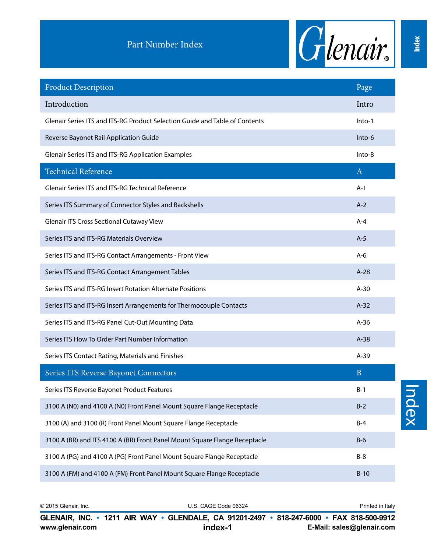

| <b>Product Description</b>                                                  | Page         |
|-----------------------------------------------------------------------------|--------------|
| Introduction                                                                | Intro        |
| Glenair Series ITS and ITS-RG Product Selection Guide and Table of Contents | Into-1       |
| Reverse Bayonet Rail Application Guide                                      | Into-6       |
| Glenair Series ITS and ITS-RG Application Examples                          | Into-8       |
| <b>Technical Reference</b>                                                  | $\mathbf{A}$ |
| Glenair Series ITS and ITS-RG Technical Reference                           | $A-1$        |
| Series ITS Summary of Connector Styles and Backshells                       | $A-2$        |
| <b>Glenair ITS Cross Sectional Cutaway View</b>                             | A-4          |
| Series ITS and ITS-RG Materials Overview                                    | $A-5$        |
| Series ITS and ITS-RG Contact Arrangements - Front View                     | $A-6$        |
| Series ITS and ITS-RG Contact Arrangement Tables                            | $A-28$       |
| Series ITS and ITS-RG Insert Rotation Alternate Positions                   | $A-30$       |
| Series ITS and ITS-RG Insert Arrangements for Thermocouple Contacts         | $A-32$       |
| Series ITS and ITS-RG Panel Cut-Out Mounting Data                           | $A-36$       |
| Series ITS How To Order Part Number Information                             | $A-38$       |
| Series ITS Contact Rating, Materials and Finishes                           | $A-39$       |
| Series ITS Reverse Bayonet Connectors                                       | B            |
| Series ITS Reverse Bayonet Product Features                                 | $B-1$        |
| 3100 A (N0) and 4100 A (N0) Front Panel Mount Square Flange Receptacle      | $B-2$        |
| 3100 (A) and 3100 (R) Front Panel Mount Square Flange Receptacle            | $B-4$        |
| 3100 A (BR) and ITS 4100 A (BR) Front Panel Mount Square Flange Receptacle  | $B-6$        |
| 3100 A (PG) and 4100 A (PG) Front Panel Mount Square Flange Receptacle      | $B-8$        |
| 3100 A (FM) and 4100 A (FM) Front Panel Mount Square Flange Receptacle      | $B-10$       |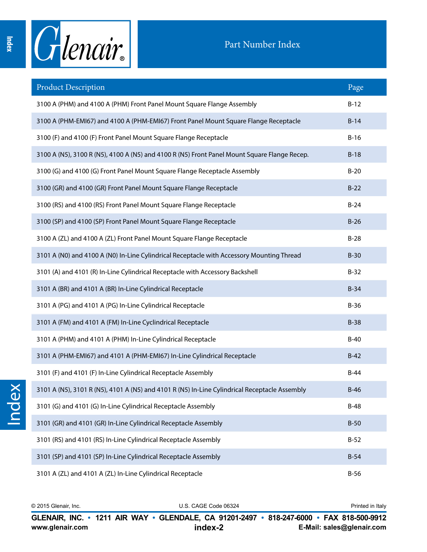Index



## Part Number Index

| <b>Product Description</b>                                                                    | Page   |
|-----------------------------------------------------------------------------------------------|--------|
| 3100 A (PHM) and 4100 A (PHM) Front Panel Mount Square Flange Assembly                        | $B-12$ |
| 3100 A (PHM-EMI67) and 4100 A (PHM-EMI67) Front Panel Mount Square Flange Receptacle          | $B-14$ |
| 3100 (F) and 4100 (F) Front Panel Mount Square Flange Receptacle                              | $B-16$ |
| 3100 A (N5), 3100 R (N5), 4100 A (N5) and 4100 R (N5) Front Panel Mount Square Flange Recep.  | $B-18$ |
| 3100 (G) and 4100 (G) Front Panel Mount Square Flange Receptacle Assembly                     | $B-20$ |
| 3100 (GR) and 4100 (GR) Front Panel Mount Square Flange Receptacle                            | $B-22$ |
| 3100 (RS) and 4100 (RS) Front Panel Mount Square Flange Receptacle                            | $B-24$ |
| 3100 (SP) and 4100 (SP) Front Panel Mount Square Flange Receptacle                            | $B-26$ |
| 3100 A (ZL) and 4100 A (ZL) Front Panel Mount Square Flange Receptacle                        | $B-28$ |
| 3101 A (N0) and 4100 A (N0) In-Line Cylindrical Receptacle with Accessory Mounting Thread     | $B-30$ |
| 3101 (A) and 4101 (R) In-Line Cylindrical Receptacle with Accessory Backshell                 | $B-32$ |
| 3101 A (BR) and 4101 A (BR) In-Line Cylindrical Receptacle                                    | $B-34$ |
| 3101 A (PG) and 4101 A (PG) In-Line Cylindrical Receptacle                                    | $B-36$ |
| 3101 A (FM) and 4101 A (FM) In-Line Cyclindrical Receptacle                                   | $B-38$ |
| 3101 A (PHM) and 4101 A (PHM) In-Line Cylindrical Receptacle                                  | $B-40$ |
| 3101 A (PHM-EMI67) and 4101 A (PHM-EMI67) In-Line Cylindrical Receptacle                      | $B-42$ |
| 3101 (F) and 4101 (F) In-Line Cylindrical Receptacle Assembly                                 | $B-44$ |
| 3101 A (N5), 3101 R (N5), 4101 A (N5) and 4101 R (N5) In-Line Cylindrical Receptacle Assembly | $B-46$ |
| 3101 (G) and 4101 (G) In-Line Cylindrical Receptacle Assembly                                 | $B-48$ |
| 3101 (GR) and 4101 (GR) In-Line Cylindrical Receptacle Assembly                               | $B-50$ |
| 3101 (RS) and 4101 (RS) In-Line Cylindrical Receptacle Assembly                               | $B-52$ |
| 3101 (SP) and 4101 (SP) In-Line Cylindrical Receptacle Assembly                               | $B-54$ |
| 3101 A (ZL) and 4101 A (ZL) In-Line Cylindrical Receptacle                                    | $B-56$ |

**www.glenair.com E-Mail: sales@glenair.com www.glenair.com E-Mail: sales@glenair.com index-2 index-3 GLENAIR, INC. • 1211 AIR WAY • GLENDALE, CA 91201-2497 • 818-247-6000 • FAX 818-500-9912 GLENAIR, INC. • 1211 AIR WAY • GLENDALE, CA 91201-2497 • 818-247-6000 • FAX 818-500-9912** © 2015 Glenair, Inc. U.S. CAGE Code 06324 Printed in Italy © 2015 Glenair, Inc. U.S. CAGE Code 06324 Printed in Italy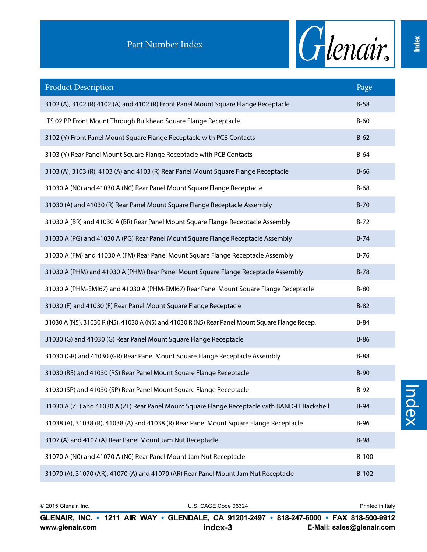

| <b>Product Description</b>                                                                      | Page        |
|-------------------------------------------------------------------------------------------------|-------------|
| 3102 (A), 3102 (R) 4102 (A) and 4102 (R) Front Panel Mount Square Flange Receptacle             | $B-58$      |
| ITS 02 PP Front Mount Through Bulkhead Square Flange Receptacle                                 | $B-60$      |
| 3102 (Y) Front Panel Mount Square Flange Receptacle with PCB Contacts                           | $B-62$      |
| 3103 (Y) Rear Panel Mount Square Flange Receptacle with PCB Contacts                            | $B-64$      |
| 3103 (A), 3103 (R), 4103 (A) and 4103 (R) Rear Panel Mount Square Flange Receptacle             | $B-66$      |
| 31030 A (N0) and 41030 A (N0) Rear Panel Mount Square Flange Receptacle                         | $B-68$      |
| 31030 (A) and 41030 (R) Rear Panel Mount Square Flange Receptacle Assembly                      | $B-70$      |
| 31030 A (BR) and 41030 A (BR) Rear Panel Mount Square Flange Receptacle Assembly                | $B-72$      |
| 31030 A (PG) and 41030 A (PG) Rear Panel Mount Square Flange Receptacle Assembly                | $B-74$      |
| 31030 A (FM) and 41030 A (FM) Rear Panel Mount Square Flange Receptacle Assembly                | $B-76$      |
| 31030 A (PHM) and 41030 A (PHM) Rear Panel Mount Square Flange Receptacle Assembly              | $B-78$      |
| 31030 A (PHM-EMI67) and 41030 A (PHM-EMI67) Rear Panel Mount Square Flange Receptacle           | $B-80$      |
| 31030 (F) and 41030 (F) Rear Panel Mount Square Flange Receptacle                               | $B-82$      |
| 31030 A (N5), 31030 R (N5), 41030 A (N5) and 41030 R (N5) Rear Panel Mount Square Flange Recep. | $B-84$      |
| 31030 (G) and 41030 (G) Rear Panel Mount Square Flange Receptacle                               | $B-86$      |
| 31030 (GR) and 41030 (GR) Rear Panel Mount Square Flange Receptacle Assembly                    | $B-88$      |
| 31030 (RS) and 41030 (RS) Rear Panel Mount Square Flange Receptacle                             | $B-90$      |
| 31030 (SP) and 41030 (SP) Rear Panel Mount Square Flange Receptacle                             | $B-92$      |
| 31030 A (ZL) and 41030 A (ZL) Rear Panel Mount Square Flange Receptacle with BAND-IT Backshell  | $B-94$      |
| 31038 (A), 31038 (R), 41038 (A) and 41038 (R) Rear Panel Mount Square Flange Receptacle         | $B-96$      |
| 3107 (A) and 4107 (A) Rear Panel Mount Jam Nut Receptacle                                       | <b>B-98</b> |
| 31070 A (N0) and 41070 A (N0) Rear Panel Mount Jam Nut Receptacle                               | $B-100$     |
| 31070 (A), 31070 (AR), 41070 (A) and 41070 (AR) Rear Panel Mount Jam Nut Receptacle             | $B-102$     |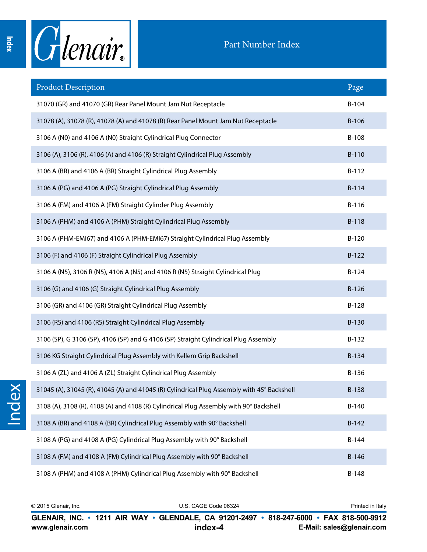

| <b>Product Description</b>                                                                 | Page    |
|--------------------------------------------------------------------------------------------|---------|
| 31070 (GR) and 41070 (GR) Rear Panel Mount Jam Nut Receptacle                              | $B-104$ |
| 31078 (A), 31078 (R), 41078 (A) and 41078 (R) Rear Panel Mount Jam Nut Receptacle          | B-106   |
| 3106 A (N0) and 4106 A (N0) Straight Cylindrical Plug Connector                            | B-108   |
| 3106 (A), 3106 (R), 4106 (A) and 4106 (R) Straight Cylindrical Plug Assembly               | B-110   |
| 3106 A (BR) and 4106 A (BR) Straight Cylindrical Plug Assembly                             | $B-112$ |
| 3106 A (PG) and 4106 A (PG) Straight Cylindrical Plug Assembly                             | $B-114$ |
| 3106 A (FM) and 4106 A (FM) Straight Cylinder Plug Assembly                                | B-116   |
| 3106 A (PHM) and 4106 A (PHM) Straight Cylindrical Plug Assembly                           | $B-118$ |
| 3106 A (PHM-EMI67) and 4106 A (PHM-EMI67) Straight Cylindrical Plug Assembly               | $B-120$ |
| 3106 (F) and 4106 (F) Straight Cylindrical Plug Assembly                                   | $B-122$ |
| 3106 A (N5), 3106 R (N5), 4106 A (N5) and 4106 R (N5) Straight Cylindrical Plug            | $B-124$ |
| 3106 (G) and 4106 (G) Straight Cylindrical Plug Assembly                                   | $B-126$ |
| 3106 (GR) and 4106 (GR) Straight Cylindrical Plug Assembly                                 | $B-128$ |
| 3106 (RS) and 4106 (RS) Straight Cylindrical Plug Assembly                                 | B-130   |
| 3106 (SP), G 3106 (SP), 4106 (SP) and G 4106 (SP) Straight Cylindrical Plug Assembly       | $B-132$ |
| 3106 KG Straight Cylindrical Plug Assembly with Kellem Grip Backshell                      | B-134   |
| 3106 A (ZL) and 4106 A (ZL) Straight Cylindrical Plug Assembly                             | B-136   |
| 31045 (A), 31045 (R), 41045 (A) and 41045 (R) Cylindrical Plug Assembly with 45° Backshell | B-138   |
| 3108 (A), 3108 (R), 4108 (A) and 4108 (R) Cylindrical Plug Assembly with 90° Backshell     | $B-140$ |
| 3108 A (BR) and 4108 A (BR) Cylindrical Plug Assembly with 90° Backshell                   | $B-142$ |
| 3108 A (PG) and 4108 A (PG) Cylindrical Plug Assembly with 90° Backshell                   | $B-144$ |
| 3108 A (FM) and 4108 A (FM) Cylindrical Plug Assembly with 90° Backshell                   | $B-146$ |
| 3108 A (PHM) and 4108 A (PHM) Cylindrical Plug Assembly with 90° Backshell                 | $B-148$ |

© 2015 Glenair, Inc. U.S. CAGE Code 06324 Printed in Italy © 2015 Glenair, Inc. U.S. CAGE Code 06324 Printed in Italy

**www.glenair.com E-Mail: sales@glenair.com www.glenair.com E-Mail: sales@glenair.com index-4 index-5 GLENAIR, INC. • 1211 AIR WAY • GLENDALE, CA 91201-2497 • 818-247-6000 • FAX 818-500-9912 GLENAIR, INC. • 1211 AIR WAY • GLENDALE, CA 91201-2497 • 818-247-6000 • FAX 818-500-9912**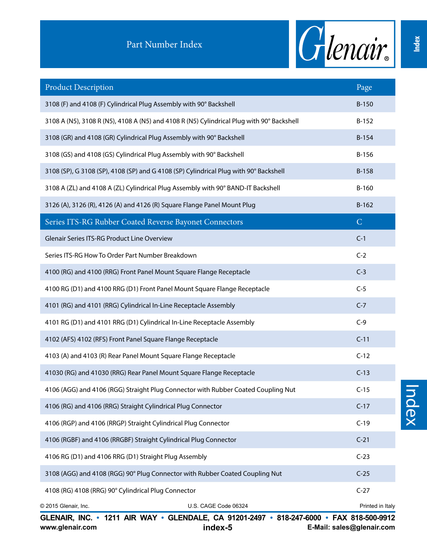

| <b>Product Description</b>                                                                | Page             |
|-------------------------------------------------------------------------------------------|------------------|
| 3108 (F) and 4108 (F) Cylindrical Plug Assembly with 90° Backshell                        | B-150            |
| 3108 A (N5), 3108 R (N5), 4108 A (N5) and 4108 R (N5) Cylindrical Plug with 90° Backshell | $B-152$          |
| 3108 (GR) and 4108 (GR) Cylindrical Plug Assembly with 90° Backshell                      | $B-154$          |
| 3108 (GS) and 4108 (GS) Cylindrical Plug Assembly with 90° Backshell                      | B-156            |
| 3108 (SP), G 3108 (SP), 4108 (SP) and G 4108 (SP) Cylindrical Plug with 90° Backshell     | B-158            |
| 3108 A (ZL) and 4108 A (ZL) Cylindrical Plug Assembly with 90° BAND-IT Backshell          | B-160            |
| 3126 (A), 3126 (R), 4126 (A) and 4126 (R) Square Flange Panel Mount Plug                  | $B-162$          |
| Series ITS-RG Rubber Coated Reverse Bayonet Connectors                                    | $\mathsf{C}$     |
| Glenair Series ITS-RG Product Line Overview                                               | $C-1$            |
| Series ITS-RG How To Order Part Number Breakdown                                          | $C-2$            |
| 4100 (RG) and 4100 (RRG) Front Panel Mount Square Flange Receptacle                       | $C-3$            |
| 4100 RG (D1) and 4100 RRG (D1) Front Panel Mount Square Flange Receptacle                 | $C-5$            |
| 4101 (RG) and 4101 (RRG) Cylindrical In-Line Receptacle Assembly                          | $C-7$            |
| 4101 RG (D1) and 4101 RRG (D1) Cylindrical In-Line Receptacle Assembly                    | $C-9$            |
| 4102 (AFS) 4102 (RFS) Front Panel Square Flange Receptacle                                | $C-11$           |
| 4103 (A) and 4103 (R) Rear Panel Mount Square Flange Receptacle                           | $C-12$           |
| 41030 (RG) and 41030 (RRG) Rear Panel Mount Square Flange Receptacle                      | $C-13$           |
| 4106 (AGG) and 4106 (RGG) Straight Plug Connector with Rubber Coated Coupling Nut         | $C-15$           |
| 4106 (RG) and 4106 (RRG) Straight Cylindrical Plug Connector                              | $C-17$           |
| 4106 (RGP) and 4106 (RRGP) Straight Cylindrical Plug Connector                            | $C-19$           |
| 4106 (RGBF) and 4106 (RRGBF) Straight Cylindrical Plug Connector                          | $C-21$           |
| 4106 RG (D1) and 4106 RRG (D1) Straight Plug Assembly                                     | $C-23$           |
| 3108 (AGG) and 4108 (RGG) 90° Plug Connector with Rubber Coated Coupling Nut              | $C-25$           |
| 4108 (RG) 4108 (RRG) 90° Cylindrical Plug Connector                                       | $C-27$           |
| U.S. CAGE Code 06324<br>© 2015 Glenair, Inc.                                              | Printed in Italy |

**www.glenair.com E-Mail: sales@glenair.com www.glenair.com E-Mail: sales@glenair.com GLENAIR, INC. • 1211 AIR WAY • GLENDALE, CA 91201-2497 • 818-247-6000 • FAX 818-500-9912 GLENAIR, INC. • 1211 AIR WAY • GLENDALE, CA 91201-2497 • 818-247-6000 • FAX 818-500-9912** www.glenair.com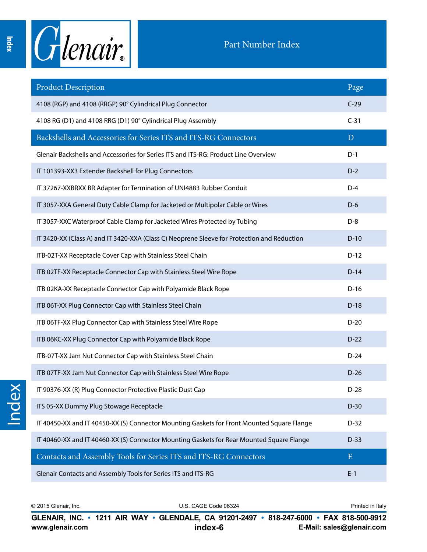

| <b>Product Description</b>                                                                  | Page      |
|---------------------------------------------------------------------------------------------|-----------|
| 4108 (RGP) and 4108 (RRGP) 90° Cylindrical Plug Connector                                   | $C-29$    |
| 4108 RG (D1) and 4108 RRG (D1) 90° Cylindrical Plug Assembly                                | $C-31$    |
| Backshells and Accessories for Series ITS and ITS-RG Connectors                             | D         |
| Glenair Backshells and Accessories for Series ITS and ITS-RG: Product Line Overview         | $D-1$     |
| IT 101393-XX3 Extender Backshell for Plug Connectors                                        | $D-2$     |
| IT 37267-XXBRXX BR Adapter for Termination of UNI4883 Rubber Conduit                        | $D-4$     |
| IT 3057-XXA General Duty Cable Clamp for Jacketed or Multipolar Cable or Wires              | $D-6$     |
| IT 3057-XXC Waterproof Cable Clamp for Jacketed Wires Protected by Tubing                   | $D-8$     |
| IT 3420-XX (Class A) and IT 3420-XXA (Class C) Neoprene Sleeve for Protection and Reduction | $D-10$    |
| ITB-02T-XX Receptacle Cover Cap with Stainless Steel Chain                                  | $D-12$    |
| ITB 02TF-XX Receptacle Connector Cap with Stainless Steel Wire Rope                         | $D-14$    |
| ITB 02KA-XX Receptacle Connector Cap with Polyamide Black Rope                              | $D-16$    |
| ITB 06T-XX Plug Connector Cap with Stainless Steel Chain                                    | $D-18$    |
| ITB 06TF-XX Plug Connector Cap with Stainless Steel Wire Rope                               | $D-20$    |
| ITB 06KC-XX Plug Connector Cap with Polyamide Black Rope                                    | $D-22$    |
| ITB-07T-XX Jam Nut Connector Cap with Stainless Steel Chain                                 | $D-24$    |
| ITB 07TF-XX Jam Nut Connector Cap with Stainless Steel Wire Rope                            | $D-26$    |
| IT 90376-XX (R) Plug Connector Protective Plastic Dust Cap                                  | $D-28$    |
| ITS 05-XX Dummy Plug Stowage Receptacle                                                     | $D-30$    |
| IT 40450-XX and IT 40450-XX (S) Connector Mounting Gaskets for Front Mounted Square Flange  | $D-32$    |
| IT 40460-XX and IT 40460-XX (S) Connector Mounting Gaskets for Rear Mounted Square Flange   | $D-33$    |
| Contacts and Assembly Tools for Series ITS and ITS-RG Connectors                            | ${\bf E}$ |
| Glenair Contacts and Assembly Tools for Series ITS and ITS-RG                               | $E-1$     |

Index

© 2015 Glenair, Inc. U.S. CAGE Code 06324 Printed in Italy © 2015 Glenair, Inc. U.S. CAGE Code 06324 Printed in Italy

**www.glenair.com E-Mail: sales@glenair.com www.glenair.com E-Mail: sales@glenair.com index-6 index-7 GLENAIR, INC. • 1211 AIR WAY • GLENDALE, CA 91201-2497 • 818-247-6000 • FAX 818-500-9912 GLENAIR, INC. • 1211 AIR WAY • GLENDALE, CA 91201-2497 • 818-247-6000 • FAX 818-500-9912**